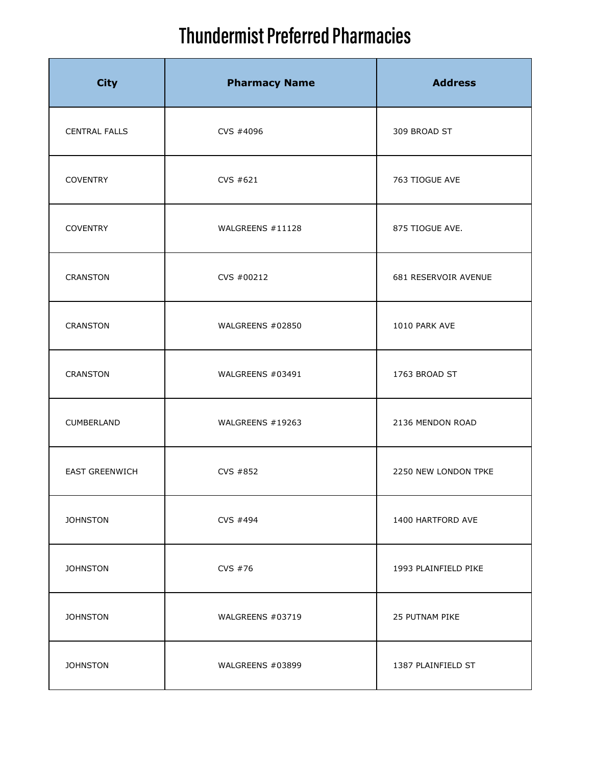| <b>City</b>           | <b>Pharmacy Name</b> | <b>Address</b>       |
|-----------------------|----------------------|----------------------|
| <b>CENTRAL FALLS</b>  | CVS #4096            | 309 BROAD ST         |
| <b>COVENTRY</b>       | CVS #621             | 763 TIOGUE AVE       |
| <b>COVENTRY</b>       | WALGREENS #11128     | 875 TIOGUE AVE.      |
| CRANSTON              | CVS #00212           | 681 RESERVOIR AVENUE |
| CRANSTON              | WALGREENS #02850     | 1010 PARK AVE        |
| CRANSTON              | WALGREENS #03491     | 1763 BROAD ST        |
| CUMBERLAND            | WALGREENS #19263     | 2136 MENDON ROAD     |
| <b>EAST GREENWICH</b> | CVS #852             | 2250 NEW LONDON TPKE |
| <b>JOHNSTON</b>       | CVS #494             | 1400 HARTFORD AVE    |
| <b>JOHNSTON</b>       | CVS #76              | 1993 PLAINFIELD PIKE |
| <b>JOHNSTON</b>       | WALGREENS #03719     | 25 PUTNAM PIKE       |
| <b>JOHNSTON</b>       | WALGREENS #03899     | 1387 PLAINFIELD ST   |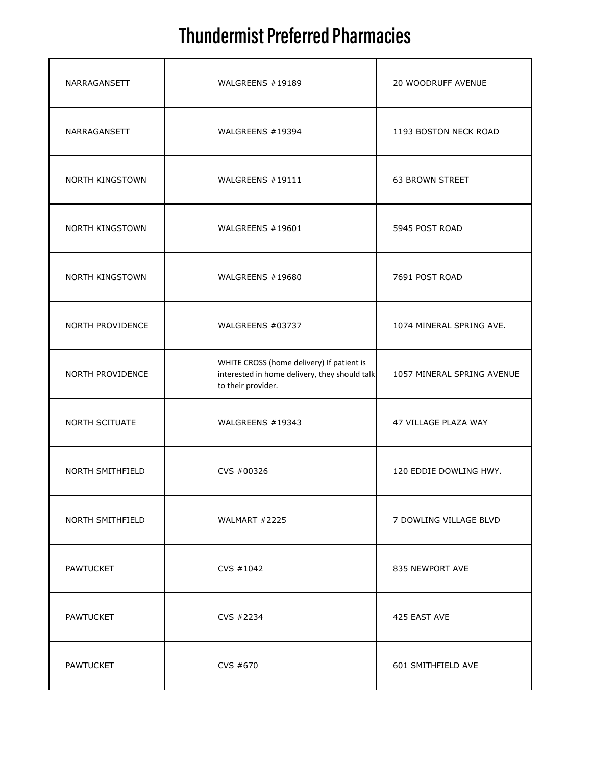| NARRAGANSETT            | WALGREENS #19189                                                                                                 | 20 WOODRUFF AVENUE         |
|-------------------------|------------------------------------------------------------------------------------------------------------------|----------------------------|
| NARRAGANSETT            | WALGREENS #19394                                                                                                 | 1193 BOSTON NECK ROAD      |
| <b>NORTH KINGSTOWN</b>  | WALGREENS #19111                                                                                                 | <b>63 BROWN STREET</b>     |
| NORTH KINGSTOWN         | WALGREENS #19601                                                                                                 | 5945 POST ROAD             |
| NORTH KINGSTOWN         | WALGREENS #19680                                                                                                 | 7691 POST ROAD             |
| NORTH PROVIDENCE        | WALGREENS #03737                                                                                                 | 1074 MINERAL SPRING AVE.   |
| NORTH PROVIDENCE        | WHITE CROSS (home delivery) If patient is<br>interested in home delivery, they should talk<br>to their provider. | 1057 MINERAL SPRING AVENUE |
| NORTH SCITUATE          | WALGREENS #19343                                                                                                 | 47 VILLAGE PLAZA WAY       |
| NORTH SMITHFIELD        | CVS #00326                                                                                                       | 120 EDDIE DOWLING HWY.     |
| <b>NORTH SMITHFIELD</b> | WALMART #2225                                                                                                    | 7 DOWLING VILLAGE BLVD     |
| PAWTUCKET               | CVS #1042                                                                                                        | 835 NEWPORT AVE            |
| <b>PAWTUCKET</b>        | CVS #2234                                                                                                        | 425 EAST AVE               |
| <b>PAWTUCKET</b>        | CVS #670                                                                                                         | 601 SMITHFIELD AVE         |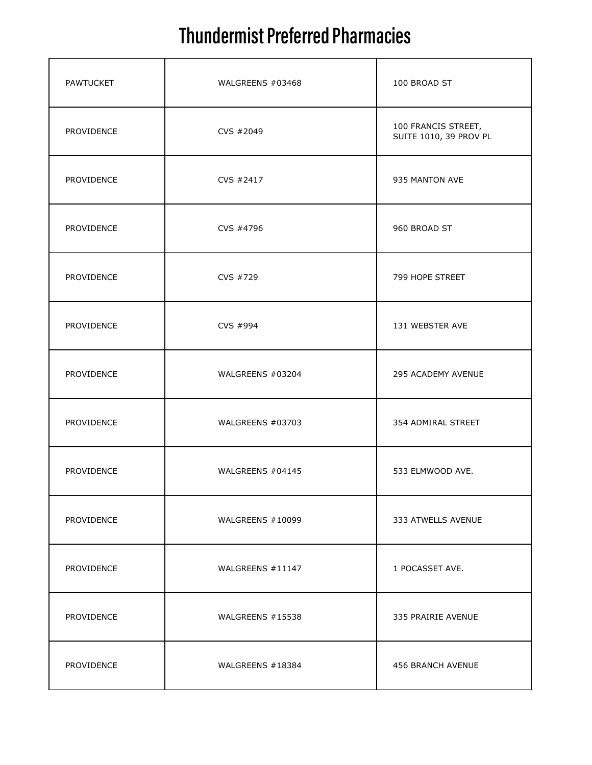| <b>PAWTUCKET</b> | WALGREENS #03468 | 100 BROAD ST                                  |
|------------------|------------------|-----------------------------------------------|
| PROVIDENCE       | CVS #2049        | 100 FRANCIS STREET,<br>SUITE 1010, 39 PROV PL |
| PROVIDENCE       | CVS #2417        | 935 MANTON AVE                                |
| PROVIDENCE       | CVS #4796        | 960 BROAD ST                                  |
| PROVIDENCE       | CVS #729         | 799 HOPE STREET                               |
| PROVIDENCE       | CVS #994         | 131 WEBSTER AVE                               |
| PROVIDENCE       | WALGREENS #03204 | 295 ACADEMY AVENUE                            |
| PROVIDENCE       | WALGREENS #03703 | 354 ADMIRAL STREET                            |
| PROVIDENCE       | WALGREENS #04145 | 533 ELMWOOD AVE.                              |
| PROVIDENCE       | WALGREENS #10099 | 333 ATWELLS AVENUE                            |
| PROVIDENCE       | WALGREENS #11147 | 1 POCASSET AVE.                               |
| PROVIDENCE       | WALGREENS #15538 | 335 PRAIRIE AVENUE                            |
| PROVIDENCE       | WALGREENS #18384 | 456 BRANCH AVENUE                             |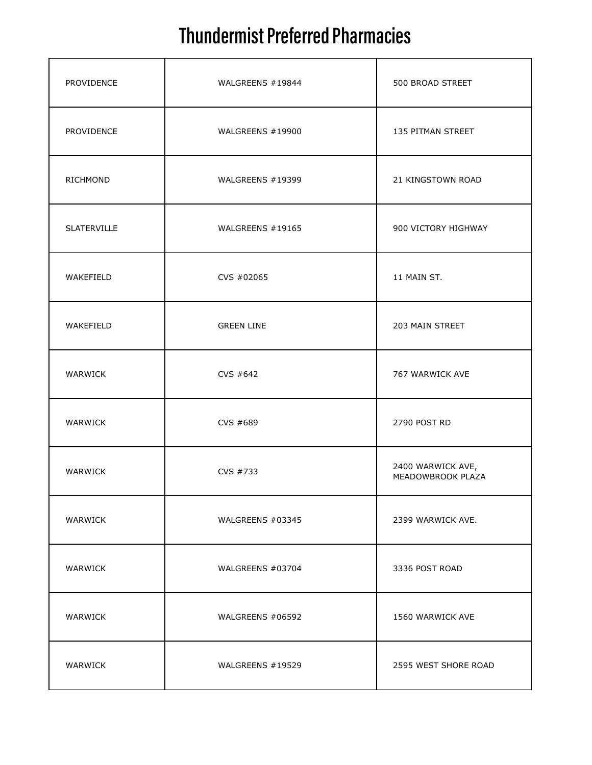| PROVIDENCE  | WALGREENS #19844  | 500 BROAD STREET                       |
|-------------|-------------------|----------------------------------------|
| PROVIDENCE  | WALGREENS #19900  | 135 PITMAN STREET                      |
| RICHMOND    | WALGREENS #19399  | 21 KINGSTOWN ROAD                      |
| SLATERVILLE | WALGREENS #19165  | 900 VICTORY HIGHWAY                    |
| WAKEFIELD   | CVS #02065        | 11 MAIN ST.                            |
| WAKEFIELD   | <b>GREEN LINE</b> | 203 MAIN STREET                        |
| WARWICK     | CVS #642          | 767 WARWICK AVE                        |
| WARWICK     | CVS #689          | 2790 POST RD                           |
| WARWICK     | CVS #733          | 2400 WARWICK AVE,<br>MEADOWBROOK PLAZA |
| WARWICK     | WALGREENS #03345  | 2399 WARWICK AVE.                      |
| WARWICK     | WALGREENS #03704  | 3336 POST ROAD                         |
| WARWICK     | WALGREENS #06592  | 1560 WARWICK AVE                       |
| WARWICK     | WALGREENS #19529  | 2595 WEST SHORE ROAD                   |